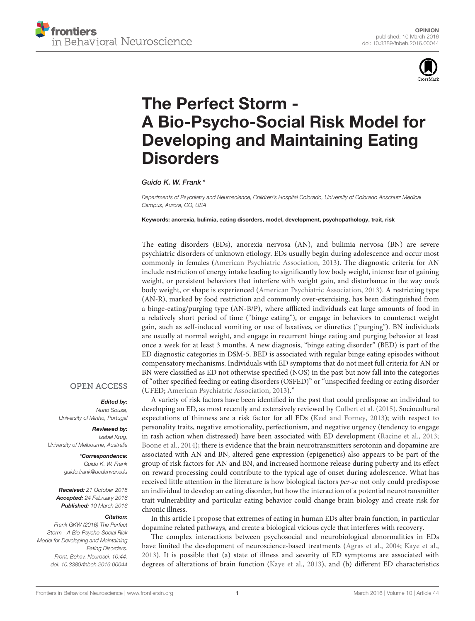



# The Perfect Storm - [A Bio-Psycho-Social Risk Model for](http://journal.frontiersin.org/article/10.3389/fnbeh.2016.00044/full) Developing and Maintaining Eating **Disorders**

[Guido K. W. Frank](http://loop.frontiersin.org/people/82878/overview) \*

*Departments of Psychiatry and Neuroscience, Children's Hospital Colorado, University of Colorado Anschutz Medical Campus, Aurora, CO, USA*

Keywords: anorexia, bulimia, eating disorders, model, development, psychopathology, trait, risk

The eating disorders (EDs), anorexia nervosa (AN), and bulimia nervosa (BN) are severe psychiatric disorders of unknown etiology. EDs usually begin during adolescence and occur most commonly in females [\(American Psychiatric Association, 2013\)](#page-3-0). The diagnostic criteria for AN include restriction of energy intake leading to significantly low body weight, intense fear of gaining weight, or persistent behaviors that interfere with weight gain, and disturbance in the way one's body weight, or shape is experienced [\(American Psychiatric Association, 2013\)](#page-3-0). A restricting type (AN-R), marked by food restriction and commonly over-exercising, has been distinguished from a binge-eating/purging type (AN-B/P), where afflicted individuals eat large amounts of food in a relatively short period of time ("binge eating"), or engage in behaviors to counteract weight gain, such as self-induced vomiting or use of laxatives, or diuretics ("purging"). BN individuals are usually at normal weight, and engage in recurrent binge eating and purging behavior at least once a week for at least 3 months. A new diagnosis, "binge eating disorder" (BED) is part of the ED diagnostic categories in DSM-5. BED is associated with regular binge eating episodes without compensatory mechanisms. Individuals with ED symptoms that do not meet full criteria for AN or BN were classified as ED not otherwise specified (NOS) in the past but now fall into the categories of "other specified feeding or eating disorders (OSFED)" or "unspecified feeding or eating disorder (UFED; [American Psychiatric Association, 2013\)](#page-3-0)."

A variety of risk factors have been identified in the past that could predispose an individual to developing an ED, as most recently and extensively reviewed by [Culbert et al. \(2015\)](#page-3-1). Sociocultural expectations of thinness are a risk factor for all EDs [\(Keel and Forney, 2013\)](#page-3-2); with respect to personality traits, negative emotionality, perfectionism, and negative urgency (tendency to engage in rash action when distressed) have been associated with ED development [\(Racine et al., 2013;](#page-3-3) [Boone et al., 2014\)](#page-3-4); there is evidence that the brain neurotransmitters serotonin and dopamine are associated with AN and BN, altered gene expression (epigenetics) also appears to be part of the group of risk factors for AN and BN, and increased hormone release during puberty and its effect on reward processing could contribute to the typical age of onset during adolescence. What has received little attention in the literature is how biological factors per-se not only could predispose an individual to develop an eating disorder, but how the interaction of a potential neurotransmitter trait vulnerability and particular eating behavior could change brain biology and create risk for chronic illness.

In this article I propose that extremes of eating in human EDs alter brain function, in particular dopamine related pathways, and create a biological vicious cycle that interferes with recovery.

The complex interactions between psychosocial and neurobiological abnormalities in EDs have limited the development of neuroscience-based treatments [\(Agras et al., 2004;](#page-3-5) [Kaye et al.,](#page-3-6) [2013\)](#page-3-6). It is possible that (a) state of illness and severity of ED symptoms are associated with degrees of alterations of brain function [\(Kaye et al., 2013\)](#page-3-6), and (b) different ED characteristics

### **OPEN ACCESS**

#### Edited by:

*Nuno Sousa, University of Minho, Portugal*

Reviewed by: *Isabel Krug, University of Melbourne, Australia*

> \*Correspondence: *Guido K. W. Frank [guido.frank@ucdenver.edu](mailto:guido.frank@ucdenver.edu)*

Received: *21 October 2015* Accepted: *24 February 2016* Published: *10 March 2016*

#### Citation:

*Frank GKW (2016) The Perfect Storm - A Bio-Psycho-Social Risk Model for Developing and Maintaining Eating Disorders. Front. Behav. Neurosci. 10:44. doi: [10.3389/fnbeh.2016.00044](http://dx.doi.org/10.3389/fnbeh.2016.00044)*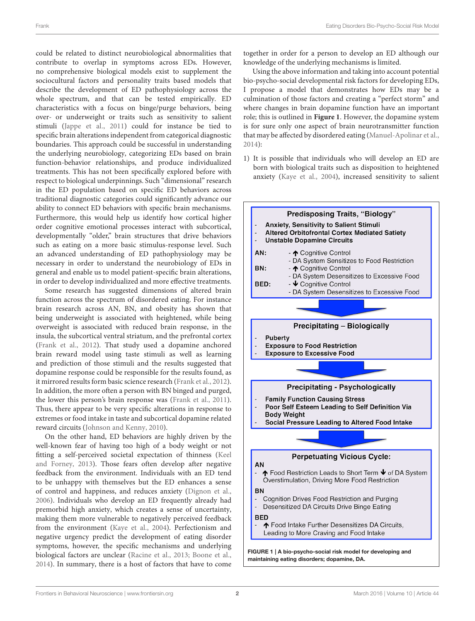could be related to distinct neurobiological abnormalities that contribute to overlap in symptoms across EDs. However, no comprehensive biological models exist to supplement the sociocultural factors and personality traits based models that describe the development of ED pathophysiology across the whole spectrum, and that can be tested empirically. ED characteristics with a focus on binge/purge behaviors, being over- or underweight or traits such as sensitivity to salient stimuli [\(Jappe et al., 2011\)](#page-3-7) could for instance be tied to specific brain alterations independent from categorical diagnostic boundaries. This approach could be successful in understanding the underlying neurobiology, categorizing EDs based on brain function-behavior relationships, and produce individualized treatments. This has not been specifically explored before with respect to biological underpinnings. Such "dimensional" research in the ED population based on specific ED behaviors across traditional diagnostic categories could significantly advance our ability to connect ED behaviors with specific brain mechanisms. Furthermore, this would help us identify how cortical higher order cognitive emotional processes interact with subcortical, developmentally "older," brain structures that drive behaviors such as eating on a more basic stimulus-response level. Such an advanced understanding of ED pathophysiology may be necessary in order to understand the neurobiology of EDs in general and enable us to model patient-specific brain alterations, in order to develop individualized and more effective treatments.

Some research has suggested dimensions of altered brain function across the spectrum of disordered eating. For instance brain research across AN, BN, and obesity has shown that being underweight is associated with heightened, while being overweight is associated with reduced brain response, in the insula, the subcortical ventral striatum, and the prefrontal cortex [\(Frank et al., 2012\)](#page-3-8). That study used a dopamine anchored brain reward model using taste stimuli as well as learning and prediction of those stimuli and the results suggested that dopamine response could be responsible for the results found, as it mirrored results form basic science research [\(Frank et al., 2012\)](#page-3-8). In addition, the more often a person with BN binged and purged, the lower this person's brain response was [\(Frank et al., 2011\)](#page-3-9). Thus, there appear to be very specific alterations in response to extremes or food intake in taste and subcortical dopamine related reward circuits [\(Johnson and Kenny, 2010\)](#page-3-10).

<span id="page-1-0"></span>On the other hand, ED behaviors are highly driven by the well-known fear of having too high of a body weight or not fitting a self-perceived societal expectation of thinness (Keel and Forney, [2013\)](#page-3-2). Those fears often develop after negative feedback from the environment. Individuals with an ED tend to be unhappy with themselves but the ED enhances a sense of control and happiness, and reduces anxiety [\(Dignon et al.,](#page-3-11) [2006\)](#page-3-11). Individuals who develop an ED frequently already had premorbid high anxiety, which creates a sense of uncertainty, making them more vulnerable to negatively perceived feedback from the environment [\(Kaye et al., 2004\)](#page-3-12). Perfectionism and negative urgency predict the development of eating disorder symptoms, however, the specific mechanisms and underlying biological factors are unclear [\(Racine et al., 2013;](#page-3-3) [Boone et al.,](#page-3-4) [2014\)](#page-3-4). In summary, there is a host of factors that have to come together in order for a person to develop an ED although our knowledge of the underlying mechanisms is limited.

Using the above information and taking into account potential bio-psycho-social developmental risk factors for developing EDs, I propose a model that demonstrates how EDs may be a culmination of those factors and creating a "perfect storm" and where changes in brain dopamine function have an important role; this is outlined in **[Figure 1](#page-1-0)**. However, the dopamine system is for sure only one aspect of brain neurotransmitter function that may be affected by disordered eating [\(Manuel-Apolinar et al.,](#page-3-13) [2014\)](#page-3-13):

1) It is possible that individuals who will develop an ED are born with biological traits such as disposition to heightened anxiety [\(Kaye et al., 2004\)](#page-3-12), increased sensitivity to salient

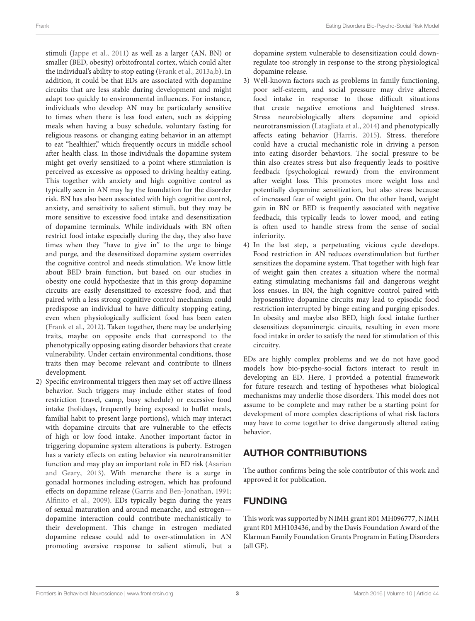stimuli [\(Jappe et al., 2011\)](#page-3-7) as well as a larger (AN, BN) or smaller (BED, obesity) orbitofrontal cortex, which could alter the individual's ability to stop eating [\(Frank et al., 2013a,](#page-3-14)[b\)](#page-3-15). In addition, it could be that EDs are associated with dopamine circuits that are less stable during development and might adapt too quickly to environmental influences. For instance, individuals who develop AN may be particularly sensitive to times when there is less food eaten, such as skipping meals when having a busy schedule, voluntary fasting for religious reasons, or changing eating behavior in an attempt to eat "healthier," which frequently occurs in middle school after health class. In those individuals the dopamine system might get overly sensitized to a point where stimulation is perceived as excessive as opposed to driving healthy eating. This together with anxiety and high cognitive control as typically seen in AN may lay the foundation for the disorder risk. BN has also been associated with high cognitive control, anxiety, and sensitivity to salient stimuli, but they may be more sensitive to excessive food intake and desensitization of dopamine terminals. While individuals with BN often restrict food intake especially during the day, they also have times when they "have to give in" to the urge to binge and purge, and the desensitized dopamine system overrides the cognitive control and needs stimulation. We know little about BED brain function, but based on our studies in obesity one could hypothesize that in this group dopamine circuits are easily desensitized to excessive food, and that paired with a less strong cognitive control mechanism could predispose an individual to have difficulty stopping eating, even when physiologically sufficient food has been eaten [\(Frank et al., 2012\)](#page-3-8). Taken together, there may be underlying traits, maybe on opposite ends that correspond to the phenotypically opposing eating disorder behaviors that create vulnerability. Under certain environmental conditions, those traits then may become relevant and contribute to illness development.

2) Specific environmental triggers then may set off active illness behavior. Such triggers may include either states of food restriction (travel, camp, busy schedule) or excessive food intake (holidays, frequently being exposed to buffet meals, familial habit to present large portions), which may interact with dopamine circuits that are vulnerable to the effects of high or low food intake. Another important factor in triggering dopamine system alterations is puberty. Estrogen has a variety effects on eating behavior via neurotransmitter function and may play an important role in ED risk (Asarian and Geary, [2013\)](#page-3-16). With menarche there is a surge in gonadal hormones including estrogen, which has profound effects on dopamine release [\(Garris and Ben-Jonathan, 1991;](#page-3-17) [Alfinito et al., 2009\)](#page-3-18). EDs typically begin during the years of sexual maturation and around menarche, and estrogen dopamine interaction could contribute mechanistically to their development. This change in estrogen mediated dopamine release could add to over-stimulation in AN promoting aversive response to salient stimuli, but a dopamine system vulnerable to desensitization could downregulate too strongly in response to the strong physiological dopamine release.

- 3) Well-known factors such as problems in family functioning, poor self-esteem, and social pressure may drive altered food intake in response to those difficult situations that create negative emotions and heightened stress. Stress neurobiologically alters dopamine and opioid neurotransmission [\(Latagliata et al., 2014\)](#page-3-19) and phenotypically affects eating behavior [\(Harris, 2015\)](#page-3-20). Stress, therefore could have a crucial mechanistic role in driving a person into eating disorder behaviors. The social pressure to be thin also creates stress but also frequently leads to positive feedback (psychological reward) from the environment after weight loss. This promotes more weight loss and potentially dopamine sensitization, but also stress because of increased fear of weight gain. On the other hand, weight gain in BN or BED is frequently associated with negative feedback, this typically leads to lower mood, and eating is often used to handle stress from the sense of social inferiority.
- 4) In the last step, a perpetuating vicious cycle develops. Food restriction in AN reduces overstimulation but further sensitizes the dopamine system. That together with high fear of weight gain then creates a situation where the normal eating stimulating mechanisms fail and dangerous weight loss ensues. In BN, the high cognitive control paired with hyposensitive dopamine circuits may lead to episodic food restriction interrupted by binge eating and purging episodes. In obesity and maybe also BED, high food intake further desensitizes dopaminergic circuits, resulting in even more food intake in order to satisfy the need for stimulation of this circuitry.

EDs are highly complex problems and we do not have good models how bio-psycho-social factors interact to result in developing an ED. Here, I provided a potential framework for future research and testing of hypotheses what biological mechanisms may underlie those disorders. This model does not assume to be complete and may rather be a starting point for development of more complex descriptions of what risk factors may have to come together to drive dangerously altered eating behavior.

### AUTHOR CONTRIBUTIONS

The author confirms being the sole contributor of this work and approved it for publication.

## FUNDING

This work was supported by NIMH grant R01 MH096777, NIMH grant R01 MH103436, and by the Davis Foundation Award of the Klarman Family Foundation Grants Program in Eating Disorders (all GF).